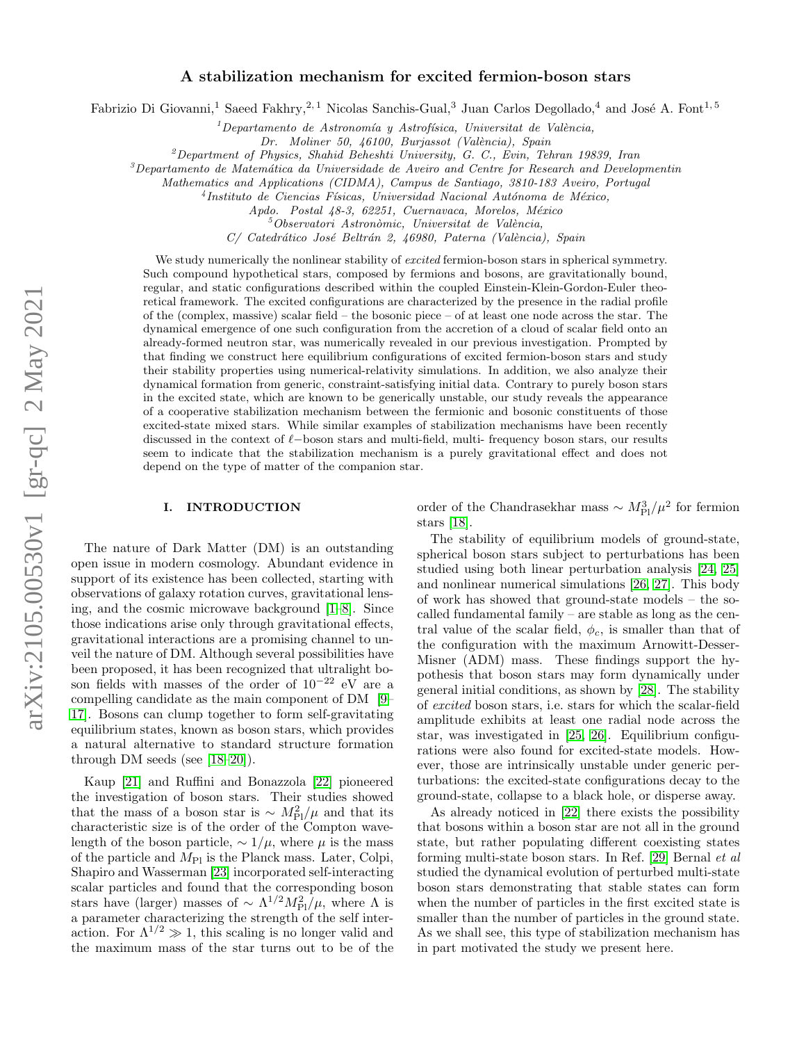# A stabilization mechanism for excited fermion-boson stars

Fabrizio Di Giovanni,<sup>1</sup> Saeed Fakhry,<sup>2, 1</sup> Nicolas Sanchis-Gual,<sup>3</sup> Juan Carlos Degollado,<sup>4</sup> and José A. Font<sup>1, 5</sup>

 $1$ Departamento de Astronomía y Astrofísica, Universitat de València,

Dr. Moliner 50, 46100, Burjassot (València), Spain

 $^{2}$ Department of Physics, Shahid Beheshti University, G. C., Evin, Tehran 19839, Iran

 ${}^{3}$ Departamento de Matemática da Universidade de Aveiro and Centre for Research and Developmentin

Mathematics and Applications (CIDMA), Campus de Santiago, 3810-183 Aveiro, Portugal

<sup>4</sup>Instituto de Ciencias Físicas, Universidad Nacional Autónoma de México,

Apdo. Postal 48-3, 62251, Cuernavaca, Morelos, México

 $5$ Observatori Astronòmic, Universitat de València,

C/ Catedrático José Beltrán 2, 46980, Paterna (València), Spain

We study numerically the nonlinear stability of *excited* fermion-boson stars in spherical symmetry. Such compound hypothetical stars, composed by fermions and bosons, are gravitationally bound, regular, and static configurations described within the coupled Einstein-Klein-Gordon-Euler theoretical framework. The excited configurations are characterized by the presence in the radial profile of the (complex, massive) scalar field – the bosonic piece – of at least one node across the star. The dynamical emergence of one such configuration from the accretion of a cloud of scalar field onto an already-formed neutron star, was numerically revealed in our previous investigation. Prompted by that finding we construct here equilibrium configurations of excited fermion-boson stars and study their stability properties using numerical-relativity simulations. In addition, we also analyze their dynamical formation from generic, constraint-satisfying initial data. Contrary to purely boson stars in the excited state, which are known to be generically unstable, our study reveals the appearance of a cooperative stabilization mechanism between the fermionic and bosonic constituents of those excited-state mixed stars. While similar examples of stabilization mechanisms have been recently discussed in the context of  $\ell$ −boson stars and multi-field, multi- frequency boson stars, our results seem to indicate that the stabilization mechanism is a purely gravitational effect and does not depend on the type of matter of the companion star.

### I. INTRODUCTION

The nature of Dark Matter (DM) is an outstanding open issue in modern cosmology. Abundant evidence in support of its existence has been collected, starting with observations of galaxy rotation curves, gravitational lensing, and the cosmic microwave background [\[1–](#page-9-0)[8\]](#page-9-1). Since those indications arise only through gravitational effects, gravitational interactions are a promising channel to unveil the nature of DM. Although several possibilities have been proposed, it has been recognized that ultralight boson fields with masses of the order of  $10^{-22}$  eV are a compelling candidate as the main component of DM [\[9–](#page-9-2) [17\]](#page-9-3). Bosons can clump together to form self-gravitating equilibrium states, known as boson stars, which provides a natural alternative to standard structure formation through DM seeds (see [\[18–](#page-9-4)[20\]](#page-9-5)).

Kaup [\[21\]](#page-9-6) and Ruffini and Bonazzola [\[22\]](#page-9-7) pioneered the investigation of boson stars. Their studies showed that the mass of a boson star is  $\sim M_{\rm Pl}^2/\mu$  and that its characteristic size is of the order of the Compton wavelength of the boson particle,  $\sim 1/\mu$ , where  $\mu$  is the mass of the particle and  $M_{\text{Pl}}$  is the Planck mass. Later, Colpi, Shapiro and Wasserman [\[23\]](#page-9-8) incorporated self-interacting scalar particles and found that the corresponding boson stars have (larger) masses of  $\sim \Lambda^{1/2} M_{\rm Pl}^2/\mu$ , where  $\Lambda$  is a parameter characterizing the strength of the self interaction. For  $\Lambda^{1/2} \gg 1$ , this scaling is no longer valid and the maximum mass of the star turns out to be of the

order of the Chandrasekhar mass  $\sim M_{\rm Pl}^3/\mu^2$  for fermion stars [\[18\]](#page-9-4).

The stability of equilibrium models of ground-state, spherical boson stars subject to perturbations has been studied using both linear perturbation analysis [\[24,](#page-9-9) [25\]](#page-9-10) and nonlinear numerical simulations [\[26,](#page-9-11) [27\]](#page-9-12). This body of work has showed that ground-state models – the socalled fundamental family – are stable as long as the central value of the scalar field,  $\phi_c$ , is smaller than that of the configuration with the maximum Arnowitt-Desser-Misner (ADM) mass. These findings support the hypothesis that boson stars may form dynamically under general initial conditions, as shown by [\[28\]](#page-9-13). The stability of excited boson stars, i.e. stars for which the scalar-field amplitude exhibits at least one radial node across the star, was investigated in [\[25,](#page-9-10) [26\]](#page-9-11). Equilibrium configurations were also found for excited-state models. However, those are intrinsically unstable under generic perturbations: the excited-state configurations decay to the ground-state, collapse to a black hole, or disperse away.

As already noticed in [\[22\]](#page-9-7) there exists the possibility that bosons within a boson star are not all in the ground state, but rather populating different coexisting states forming multi-state boson stars. In Ref. [\[29\]](#page-9-14) Bernal et al studied the dynamical evolution of perturbed multi-state boson stars demonstrating that stable states can form when the number of particles in the first excited state is smaller than the number of particles in the ground state. As we shall see, this type of stabilization mechanism has in part motivated the study we present here.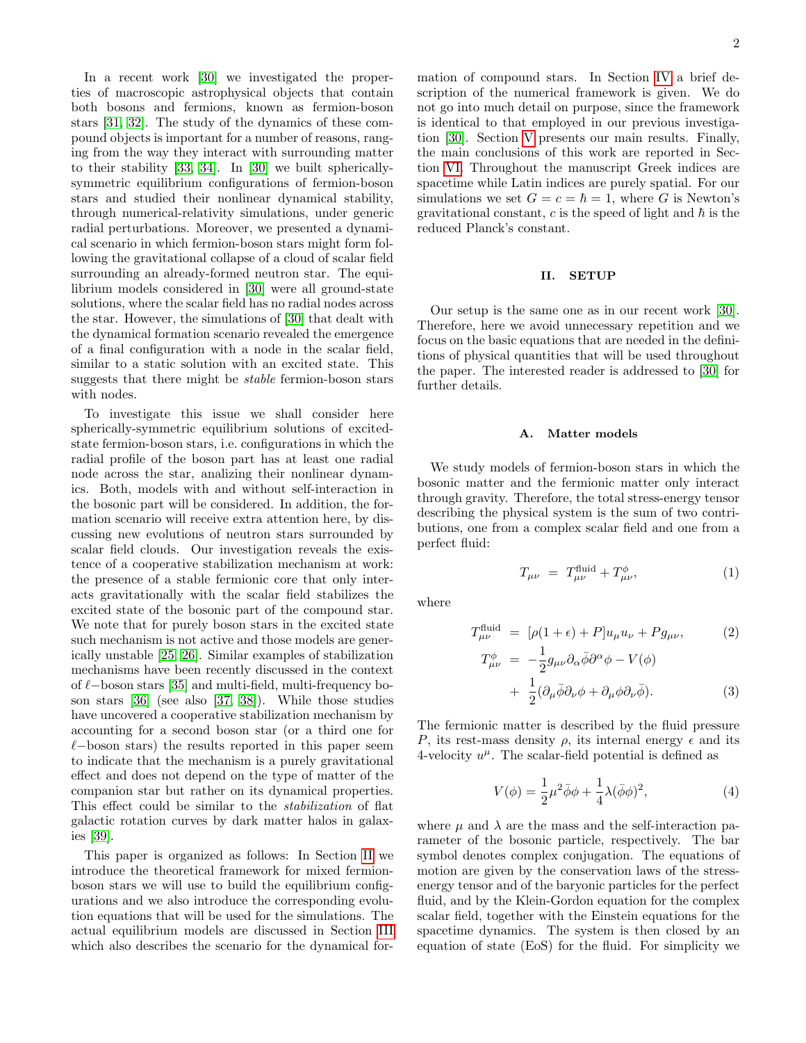In a recent work [\[30\]](#page-9-15) we investigated the properties of macroscopic astrophysical objects that contain both bosons and fermions, known as fermion-boson stars [\[31,](#page-9-16) [32\]](#page-9-17). The study of the dynamics of these compound objects is important for a number of reasons, ranging from the way they interact with surrounding matter to their stability [\[33,](#page-9-18) [34\]](#page-9-19). In [\[30\]](#page-9-15) we built sphericallysymmetric equilibrium configurations of fermion-boson stars and studied their nonlinear dynamical stability, through numerical-relativity simulations, under generic radial perturbations. Moreover, we presented a dynamical scenario in which fermion-boson stars might form following the gravitational collapse of a cloud of scalar field surrounding an already-formed neutron star. The equilibrium models considered in [\[30\]](#page-9-15) were all ground-state solutions, where the scalar field has no radial nodes across the star. However, the simulations of [\[30\]](#page-9-15) that dealt with the dynamical formation scenario revealed the emergence of a final configuration with a node in the scalar field, similar to a static solution with an excited state. This suggests that there might be stable fermion-boson stars with nodes.

To investigate this issue we shall consider here spherically-symmetric equilibrium solutions of excitedstate fermion-boson stars, i.e. configurations in which the radial profile of the boson part has at least one radial node across the star, analizing their nonlinear dynamics. Both, models with and without self-interaction in the bosonic part will be considered. In addition, the formation scenario will receive extra attention here, by discussing new evolutions of neutron stars surrounded by scalar field clouds. Our investigation reveals the existence of a cooperative stabilization mechanism at work: the presence of a stable fermionic core that only interacts gravitationally with the scalar field stabilizes the excited state of the bosonic part of the compound star. We note that for purely boson stars in the excited state such mechanism is not active and those models are generically unstable [\[25,](#page-9-10) [26\]](#page-9-11). Similar examples of stabilization mechanisms have been recently discussed in the context of  $\ell$ −boson stars [\[35\]](#page-9-20) and multi-field, multi-frequency boson stars [\[36\]](#page-9-21) (see also [\[37,](#page-9-22) [38\]](#page-9-23)). While those studies have uncovered a cooperative stabilization mechanism by accounting for a second boson star (or a third one for  $\ell$ −boson stars) the results reported in this paper seem to indicate that the mechanism is a purely gravitational effect and does not depend on the type of matter of the companion star but rather on its dynamical properties. This effect could be similar to the stabilization of flat galactic rotation curves by dark matter halos in galaxies [\[39\]](#page-9-24).

This paper is organized as follows: In Section [II](#page-1-0) we introduce the theoretical framework for mixed fermionboson stars we will use to build the equilibrium configurations and we also introduce the corresponding evolution equations that will be used for the simulations. The actual equilibrium models are discussed in Section [III](#page-2-0) which also describes the scenario for the dynamical formation of compound stars. In Section [IV](#page-4-0) a brief description of the numerical framework is given. We do not go into much detail on purpose, since the framework is identical to that employed in our previous investigation [\[30\]](#page-9-15). Section [V](#page-5-0) presents our main results. Finally, the main conclusions of this work are reported in Section [VI.](#page-7-0) Throughout the manuscript Greek indices are spacetime while Latin indices are purely spatial. For our simulations we set  $G = c = \hbar = 1$ , where G is Newton's gravitational constant,  $c$  is the speed of light and  $\hbar$  is the reduced Planck's constant.

# <span id="page-1-0"></span>II. SETUP

Our setup is the same one as in our recent work [\[30\]](#page-9-15). Therefore, here we avoid unnecessary repetition and we focus on the basic equations that are needed in the definitions of physical quantities that will be used throughout the paper. The interested reader is addressed to [\[30\]](#page-9-15) for further details.

#### A. Matter models

We study models of fermion-boson stars in which the bosonic matter and the fermionic matter only interact through gravity. Therefore, the total stress-energy tensor describing the physical system is the sum of two contributions, one from a complex scalar field and one from a perfect fluid:

$$
T_{\mu\nu} = T_{\mu\nu}^{\text{fluid}} + T_{\mu\nu}^{\phi}, \tag{1}
$$

where

$$
T^{\text{fluid}}_{\mu\nu} = [\rho(1+\epsilon) + P]u_{\mu}u_{\nu} + Pg_{\mu\nu}, \qquad (2)
$$
  

$$
T^{\phi}_{\mu\nu} = -\frac{1}{2}g_{\mu\nu}\partial_{\alpha}\bar{\phi}\partial^{\alpha}\phi - V(\phi)
$$
  

$$
+ \frac{1}{2}(\partial_{\mu}\bar{\phi}\partial_{\nu}\phi + \partial_{\mu}\phi\partial_{\nu}\bar{\phi}). \qquad (3)
$$

The fermionic matter is described by the fluid pressure P, its rest-mass density  $\rho$ , its internal energy  $\epsilon$  and its 4-velocity  $u^{\mu}$ . The scalar-field potential is defined as

<span id="page-1-1"></span>
$$
V(\phi) = \frac{1}{2}\mu^2 \bar{\phi}\phi + \frac{1}{4}\lambda(\bar{\phi}\phi)^2,
$$
 (4)

where  $\mu$  and  $\lambda$  are the mass and the self-interaction parameter of the bosonic particle, respectively. The bar symbol denotes complex conjugation. The equations of motion are given by the conservation laws of the stressenergy tensor and of the baryonic particles for the perfect fluid, and by the Klein-Gordon equation for the complex scalar field, together with the Einstein equations for the spacetime dynamics. The system is then closed by an equation of state (EoS) for the fluid. For simplicity we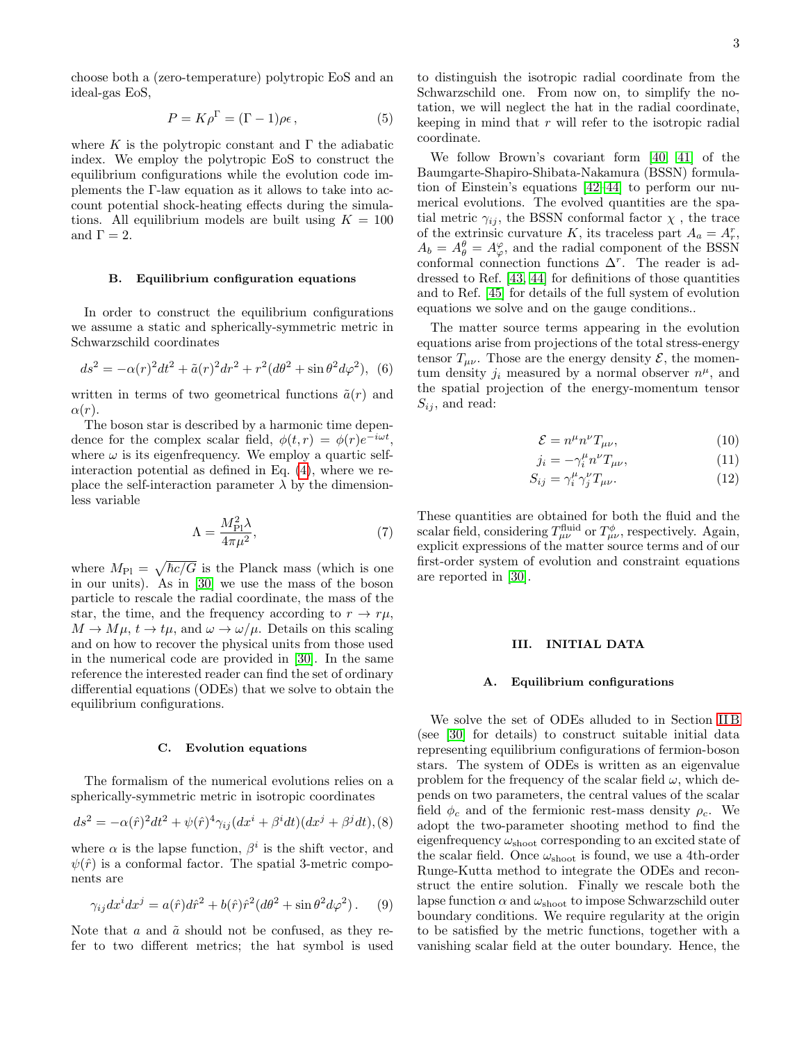choose both a (zero-temperature) polytropic EoS and an ideal-gas EoS,

$$
P = K\rho^{\Gamma} = (\Gamma - 1)\rho\epsilon\,,\tag{5}
$$

where K is the polytropic constant and  $\Gamma$  the adiabatic index. We employ the polytropic EoS to construct the equilibrium configurations while the evolution code implements the Γ-law equation as it allows to take into account potential shock-heating effects during the simulations. All equilibrium models are built using  $K = 100$ and  $\Gamma = 2$ .

### <span id="page-2-1"></span>B. Equilibrium configuration equations

In order to construct the equilibrium configurations we assume a static and spherically-symmetric metric in Schwarzschild coordinates

$$
ds^{2} = -\alpha(r)^{2}dt^{2} + \tilde{a}(r)^{2}dr^{2} + r^{2}(d\theta^{2} + \sin\theta^{2}d\varphi^{2}),
$$
 (6)

written in terms of two geometrical functions  $\tilde{a}(r)$  and  $\alpha(r)$ .

The boson star is described by a harmonic time dependence for the complex scalar field,  $\phi(t,r) = \phi(r)e^{-i\omega t}$ , where  $\omega$  is its eigenfrequency. We employ a quartic selfinteraction potential as defined in Eq. [\(4\)](#page-1-1), where we replace the self-interaction parameter  $\lambda$  by the dimensionless variable

$$
\Lambda = \frac{M_{\rm Pl}^2 \lambda}{4\pi \mu^2},\tag{7}
$$

where  $M_{\text{Pl}} = \sqrt{\hbar c/G}$  is the Planck mass (which is one in our units). As in [\[30\]](#page-9-15) we use the mass of the boson particle to rescale the radial coordinate, the mass of the star, the time, and the frequency according to  $r \to r\mu$ ,  $M \to M\mu$ ,  $t \to t\mu$ , and  $\omega \to \omega/\mu$ . Details on this scaling and on how to recover the physical units from those used in the numerical code are provided in [\[30\]](#page-9-15). In the same reference the interested reader can find the set of ordinary differential equations (ODEs) that we solve to obtain the equilibrium configurations.

### C. Evolution equations

The formalism of the numerical evolutions relies on a spherically-symmetric metric in isotropic coordinates

$$
ds^{2} = -\alpha(\hat{r})^{2}dt^{2} + \psi(\hat{r})^{4}\gamma_{ij}(dx^{i} + \beta^{i}dt)(dx^{j} + \beta^{j}dt),
$$
 (8)

where  $\alpha$  is the lapse function,  $\beta^i$  is the shift vector, and  $\psi(\hat{r})$  is a conformal factor. The spatial 3-metric components are

$$
\gamma_{ij}dx^i dx^j = a(\hat{r})d\hat{r}^2 + b(\hat{r})\hat{r}^2(d\theta^2 + \sin\theta^2 d\varphi^2). \quad (9)
$$

Note that  $a$  and  $\tilde{a}$  should not be confused, as they refer to two different metrics; the hat symbol is used to distinguish the isotropic radial coordinate from the Schwarzschild one. From now on, to simplify the notation, we will neglect the hat in the radial coordinate, keeping in mind that  $r$  will refer to the isotropic radial coordinate.

We follow Brown's covariant form [\[40,](#page-9-25) [41\]](#page-9-26) of the Baumgarte-Shapiro-Shibata-Nakamura (BSSN) formulation of Einstein's equations [\[42–](#page-9-27)[44\]](#page-9-28) to perform our numerical evolutions. The evolved quantities are the spatial metric  $\gamma_{ij}$ , the BSSN conformal factor  $\chi$ , the trace of the extrinsic curvature K, its traceless part  $A_a = A_r^r$ ,  $A_b = A_\theta^{\varphi} = A_\varphi^{\varphi}$ , and the radial component of the BSSN conformal connection functions  $\Delta^r$ . The reader is addressed to Ref. [\[43,](#page-9-29) [44\]](#page-9-28) for definitions of those quantities and to Ref. [\[45\]](#page-9-30) for details of the full system of evolution equations we solve and on the gauge conditions..

The matter source terms appearing in the evolution equations arise from projections of the total stress-energy tensor  $T_{\mu\nu}$ . Those are the energy density  $\mathcal{E}$ , the momentum density  $j_i$  measured by a normal observer  $n^{\mu}$ , and the spatial projection of the energy-momentum tensor  $S_{ij}$ , and read:

$$
\mathcal{E} = n^{\mu} n^{\nu} T_{\mu \nu},\tag{10}
$$

$$
j_i = -\gamma_i^{\mu} n^{\nu} T_{\mu\nu}, \qquad (11)
$$

$$
S_{ij} = \gamma_i^{\mu} \gamma_j^{\nu} T_{\mu \nu}.
$$
 (12)

These quantities are obtained for both the fluid and the scalar field, considering  $T^{\text{fluid}}_{\mu\nu}$  or  $T^{\phi}_{\mu\nu}$ , respectively. Again, explicit expressions of the matter source terms and of our first-order system of evolution and constraint equations are reported in [\[30\]](#page-9-15).

## <span id="page-2-0"></span>III. INITIAL DATA

#### A. Equilibrium configurations

We solve the set of ODEs alluded to in Section [II B](#page-2-1) (see [\[30\]](#page-9-15) for details) to construct suitable initial data representing equilibrium configurations of fermion-boson stars. The system of ODEs is written as an eigenvalue problem for the frequency of the scalar field  $\omega$ , which depends on two parameters, the central values of the scalar field  $\phi_c$  and of the fermionic rest-mass density  $\rho_c$ . We adopt the two-parameter shooting method to find the eigenfrequency  $\omega_{\text{shoot}}$  corresponding to an excited state of the scalar field. Once  $\omega_{\text{shoot}}$  is found, we use a 4th-order Runge-Kutta method to integrate the ODEs and reconstruct the entire solution. Finally we rescale both the lapse function  $\alpha$  and  $\omega_{\text{shoot}}$  to impose Schwarzschild outer boundary conditions. We require regularity at the origin to be satisfied by the metric functions, together with a vanishing scalar field at the outer boundary. Hence, the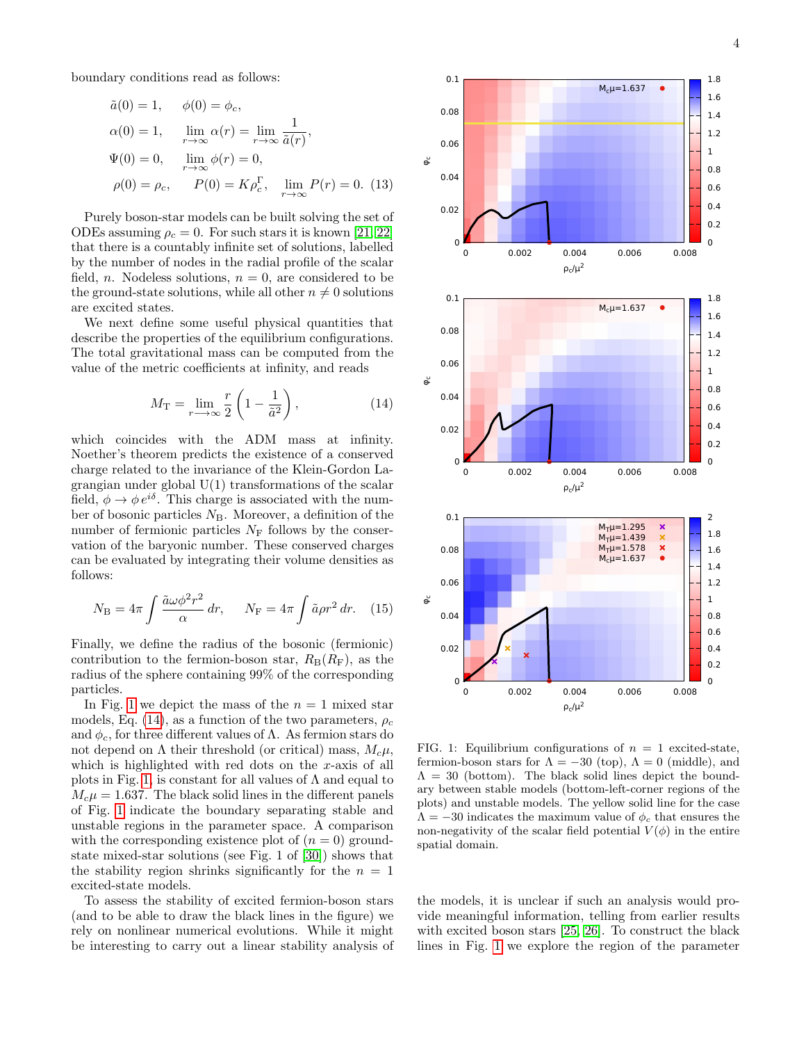boundary conditions read as follows:

$$
\tilde{a}(0) = 1, \quad \phi(0) = \phi_c,
$$
  
\n
$$
\alpha(0) = 1, \quad \lim_{r \to \infty} \alpha(r) = \lim_{r \to \infty} \frac{1}{\tilde{a}(r)},
$$
  
\n
$$
\Psi(0) = 0, \quad \lim_{r \to \infty} \phi(r) = 0,
$$
  
\n
$$
\rho(0) = \rho_c, \quad P(0) = K \rho_c^{\Gamma}, \quad \lim_{r \to \infty} P(r) = 0.
$$
 (13)

Purely boson-star models can be built solving the set of ODEs assuming  $\rho_c = 0$ . For such stars it is known [\[21,](#page-9-6) [22\]](#page-9-7) that there is a countably infinite set of solutions, labelled by the number of nodes in the radial profile of the scalar field, *n*. Nodeless solutions,  $n = 0$ , are considered to be the ground-state solutions, while all other  $n \neq 0$  solutions are excited states.

We next define some useful physical quantities that describe the properties of the equilibrium configurations. The total gravitational mass can be computed from the value of the metric coefficients at infinity, and reads

<span id="page-3-1"></span>
$$
M_{\rm T} = \lim_{r \to \infty} \frac{r}{2} \left( 1 - \frac{1}{\tilde{a}^2} \right),\tag{14}
$$

which coincides with the ADM mass at infinity. Noether's theorem predicts the existence of a conserved charge related to the invariance of the Klein-Gordon Lagrangian under global U(1) transformations of the scalar field,  $\phi \rightarrow \phi e^{i\delta}$ . This charge is associated with the number of bosonic particles  $N_B$ . Moreover, a definition of the number of fermionic particles  $N_F$  follows by the conservation of the baryonic number. These conserved charges can be evaluated by integrating their volume densities as follows:

$$
N_{\rm B} = 4\pi \int \frac{\tilde{a}\omega \phi^2 r^2}{\alpha} dr, \quad N_{\rm F} = 4\pi \int \tilde{a} \rho r^2 dr. \quad (15)
$$

Finally, we define the radius of the bosonic (fermionic) contribution to the fermion-boson star,  $R_B(R_F)$ , as the radius of the sphere containing 99% of the corresponding particles.

In Fig. [1](#page-3-0) we depict the mass of the  $n = 1$  mixed star models, Eq. [\(14\)](#page-3-1), as a function of the two parameters,  $\rho_c$ and  $\phi_c$ , for three different values of  $\Lambda$ . As fermion stars do not depend on  $\Lambda$  their threshold (or critical) mass,  $M_c\mu$ , which is highlighted with red dots on the x-axis of all plots in Fig. [1,](#page-3-0) is constant for all values of  $\Lambda$  and equal to  $M_c\mu = 1.637$ . The black solid lines in the different panels of Fig. [1](#page-3-0) indicate the boundary separating stable and unstable regions in the parameter space. A comparison with the corresponding existence plot of  $(n = 0)$  groundstate mixed-star solutions (see Fig. 1 of [\[30\]](#page-9-15)) shows that the stability region shrinks significantly for the  $n = 1$ excited-state models.

To assess the stability of excited fermion-boson stars (and to be able to draw the black lines in the figure) we rely on nonlinear numerical evolutions. While it might be interesting to carry out a linear stability analysis of



<span id="page-3-0"></span>FIG. 1: Equilibrium configurations of  $n = 1$  excited-state, fermion-boson stars for  $\Lambda = -30$  (top),  $\Lambda = 0$  (middle), and  $\Lambda = 30$  (bottom). The black solid lines depict the boundary between stable models (bottom-left-corner regions of the plots) and unstable models. The yellow solid line for the case  $\Lambda = -30$  indicates the maximum value of  $\phi_c$  that ensures the non-negativity of the scalar field potential  $V(\phi)$  in the entire spatial domain.

the models, it is unclear if such an analysis would provide meaningful information, telling from earlier results with excited boson stars [\[25,](#page-9-10) [26\]](#page-9-11). To construct the black lines in Fig. [1](#page-3-0) we explore the region of the parameter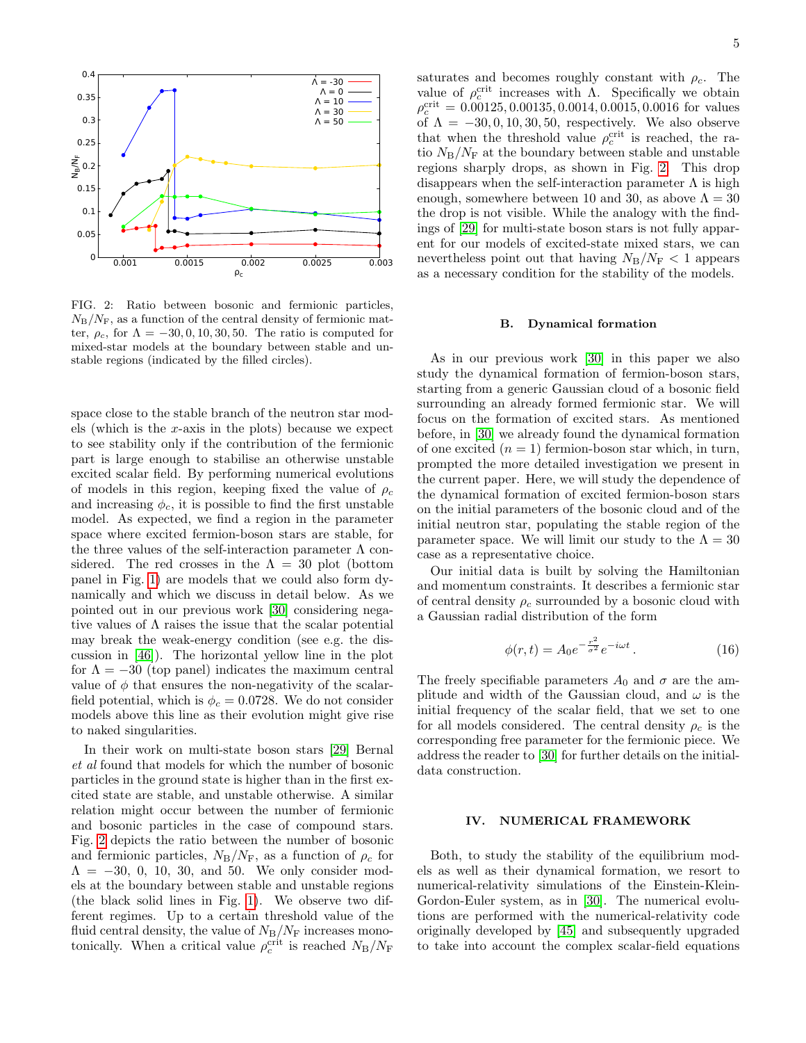

<span id="page-4-1"></span>FIG. 2: Ratio between bosonic and fermionic particles,  $N_{\rm B}/N_{\rm F}$ , as a function of the central density of fermionic matter,  $\rho_c$ , for  $\Lambda = -30, 0, 10, 30, 50$ . The ratio is computed for mixed-star models at the boundary between stable and unstable regions (indicated by the filled circles).

space close to the stable branch of the neutron star models (which is the  $x$ -axis in the plots) because we expect to see stability only if the contribution of the fermionic part is large enough to stabilise an otherwise unstable excited scalar field. By performing numerical evolutions of models in this region, keeping fixed the value of  $\rho_c$ and increasing  $\phi_c$ , it is possible to find the first unstable model. As expected, we find a region in the parameter space where excited fermion-boson stars are stable, for the three values of the self-interaction parameter  $\Lambda$  considered. The red crosses in the  $\Lambda = 30$  plot (bottom panel in Fig. [1\)](#page-3-0) are models that we could also form dynamically and which we discuss in detail below. As we pointed out in our previous work [\[30\]](#page-9-15) considering negative values of Λ raises the issue that the scalar potential may break the weak-energy condition (see e.g. the discussion in [\[46\]](#page-9-31)). The horizontal yellow line in the plot for  $\Lambda = -30$  (top panel) indicates the maximum central value of  $\phi$  that ensures the non-negativity of the scalarfield potential, which is  $\phi_c = 0.0728$ . We do not consider models above this line as their evolution might give rise to naked singularities.

In their work on multi-state boson stars [\[29\]](#page-9-14) Bernal et al found that models for which the number of bosonic particles in the ground state is higher than in the first excited state are stable, and unstable otherwise. A similar relation might occur between the number of fermionic and bosonic particles in the case of compound stars. Fig. [2](#page-4-1) depicts the ratio between the number of bosonic and fermionic particles,  $N_{\rm B}/N_{\rm F}$ , as a function of  $\rho_c$  for  $\Lambda = -30, 0, 10, 30, \text{ and } 50.$  We only consider models at the boundary between stable and unstable regions (the black solid lines in Fig. [1\)](#page-3-0). We observe two different regimes. Up to a certain threshold value of the fluid central density, the value of  $N_{\rm B}/N_{\rm F}$  increases monotonically. When a critical value  $\rho_c^{\text{crit}}$  is reached  $N_B/N_F$ 

saturates and becomes roughly constant with  $\rho_c$ . The value of  $ρ_c^{\text{crit}}$  increases with Λ. Specifically we obtain  $\rho_c^{\text{crit}} = 0.00125, 0.00135, 0.0014, 0.0015, 0.0016$  for values of  $\Lambda = -30, 0, 10, 30, 50$ , respectively. We also observe that when the threshold value  $\rho_c^{\text{crit}}$  is reached, the ratio  $N_{\rm B}/N_{\rm F}$  at the boundary between stable and unstable regions sharply drops, as shown in Fig. [2.](#page-4-1) This drop disappears when the self-interaction parameter  $\Lambda$  is high enough, somewhere between 10 and 30, as above  $\Lambda = 30$ the drop is not visible. While the analogy with the findings of [\[29\]](#page-9-14) for multi-state boson stars is not fully apparent for our models of excited-state mixed stars, we can nevertheless point out that having  $N_{\rm B}/N_{\rm F}$  < 1 appears as a necessary condition for the stability of the models.

## B. Dynamical formation

As in our previous work [\[30\]](#page-9-15) in this paper we also study the dynamical formation of fermion-boson stars, starting from a generic Gaussian cloud of a bosonic field surrounding an already formed fermionic star. We will focus on the formation of excited stars. As mentioned before, in [\[30\]](#page-9-15) we already found the dynamical formation of one excited  $(n = 1)$  fermion-boson star which, in turn, prompted the more detailed investigation we present in the current paper. Here, we will study the dependence of the dynamical formation of excited fermion-boson stars on the initial parameters of the bosonic cloud and of the initial neutron star, populating the stable region of the parameter space. We will limit our study to the  $\Lambda = 30$ case as a representative choice.

Our initial data is built by solving the Hamiltonian and momentum constraints. It describes a fermionic star of central density  $\rho_c$  surrounded by a bosonic cloud with a Gaussian radial distribution of the form

$$
\phi(r,t) = A_0 e^{-\frac{r^2}{\sigma^2}} e^{-i\omega t} \,. \tag{16}
$$

The freely specifiable parameters  $A_0$  and  $\sigma$  are the amplitude and width of the Gaussian cloud, and  $\omega$  is the initial frequency of the scalar field, that we set to one for all models considered. The central density  $\rho_c$  is the corresponding free parameter for the fermionic piece. We address the reader to [\[30\]](#page-9-15) for further details on the initialdata construction.

## <span id="page-4-0"></span>IV. NUMERICAL FRAMEWORK

Both, to study the stability of the equilibrium models as well as their dynamical formation, we resort to numerical-relativity simulations of the Einstein-Klein-Gordon-Euler system, as in [\[30\]](#page-9-15). The numerical evolutions are performed with the numerical-relativity code originally developed by [\[45\]](#page-9-30) and subsequently upgraded to take into account the complex scalar-field equations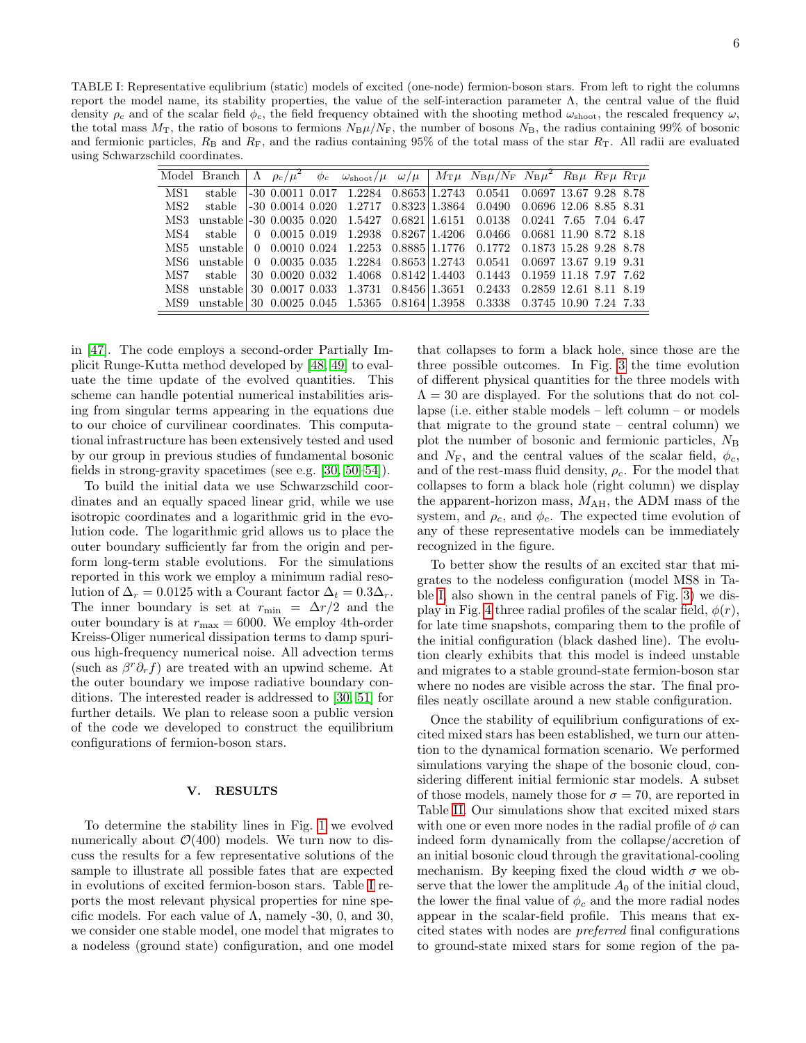<span id="page-5-1"></span>

|      |        |  |  |  | Model Branch $\Lambda \rho_c/\mu^2 \phi_c \omega_{\text{shoot}}/\mu \omega/\mu \left[ M_T \mu N_B \mu / N_F N_B \mu^2 R_B \mu R_F \mu R_T \mu \right]$ |  |  |
|------|--------|--|--|--|--------------------------------------------------------------------------------------------------------------------------------------------------------|--|--|
| MS1  | stable |  |  |  |                                                                                                                                                        |  |  |
| MS2  |        |  |  |  | stable -30 0.0014 0.020 1.2717 0.8323 1.3864 0.0490 0.0696 12.06 8.85 8.31                                                                             |  |  |
| MS3  |        |  |  |  | unstable -30 0.0035 0.020 1.5427 0.6821 1.6151 0.0138 0.0241 7.65 7.04 6.47                                                                            |  |  |
| MS4  |        |  |  |  | stable $\begin{bmatrix} 0 & 0.0015 & 0.019 & 1.2938 & 0.8267 & 1.4206 & 0.0466 & 0.0681 & 11.90 & 8.72 & 8.18 \end{bmatrix}$                           |  |  |
| MS5. |        |  |  |  | unstable 0 0.0010 0.024 1.2253 0.8885 1.1776 0.1772 0.1873 15.28 9.28 8.78                                                                             |  |  |
| MS6. |        |  |  |  | unstable 0 0.0035 0.035 1.2284 0.8653 1.2743 0.0541 0.0697 13.67 9.19 9.31                                                                             |  |  |
|      |        |  |  |  | MS7 stable 30 0.0020 0.032 1.4068 0.8142 1.4403 0.1443 0.1959 11.18 7.97 7.62                                                                          |  |  |
| MS8  |        |  |  |  | unstable 30 0.0017 0.033 1.3731 0.8456 1.3651 0.2433 0.2859 12.61 8.11 8.19                                                                            |  |  |
| MS9  |        |  |  |  | unstable 30 0.0025 0.045 1.5365 0.8164 1.3958 0.3338 0.3745 10.90 7.24 7.33                                                                            |  |  |

in [\[47\]](#page-9-32). The code employs a second-order Partially Implicit Runge-Kutta method developed by [\[48,](#page-9-33) [49\]](#page-9-34) to evaluate the time update of the evolved quantities. This scheme can handle potential numerical instabilities arising from singular terms appearing in the equations due to our choice of curvilinear coordinates. This computational infrastructure has been extensively tested and used by our group in previous studies of fundamental bosonic fields in strong-gravity spacetimes (see e.g. [\[30,](#page-9-15) [50](#page-9-35)[–54\]](#page-10-0)).

To build the initial data we use Schwarzschild coordinates and an equally spaced linear grid, while we use isotropic coordinates and a logarithmic grid in the evolution code. The logarithmic grid allows us to place the outer boundary sufficiently far from the origin and perform long-term stable evolutions. For the simulations reported in this work we employ a minimum radial resolution of  $\Delta_r = 0.0125$  with a Courant factor  $\Delta_t = 0.3\Delta_r$ . The inner boundary is set at  $r_{\min} = \Delta r/2$  and the outer boundary is at  $r_{\text{max}} = 6000$ . We employ 4th-order Kreiss-Oliger numerical dissipation terms to damp spurious high-frequency numerical noise. All advection terms (such as  $\beta^r \partial_r f$ ) are treated with an upwind scheme. At the outer boundary we impose radiative boundary conditions. The interested reader is addressed to [\[30,](#page-9-15) [51\]](#page-9-36) for further details. We plan to release soon a public version of the code we developed to construct the equilibrium configurations of fermion-boson stars.

## <span id="page-5-0"></span>V. RESULTS

To determine the stability lines in Fig. [1](#page-3-0) we evolved numerically about  $\mathcal{O}(400)$  models. We turn now to discuss the results for a few representative solutions of the sample to illustrate all possible fates that are expected in evolutions of excited fermion-boson stars. Table [I](#page-5-1) reports the most relevant physical properties for nine specific models. For each value of  $\Lambda$ , namely -30, 0, and 30, we consider one stable model, one model that migrates to a nodeless (ground state) configuration, and one model

that collapses to form a black hole, since those are the three possible outcomes. In Fig. [3](#page-6-0) the time evolution of different physical quantities for the three models with  $\Lambda = 30$  are displayed. For the solutions that do not collapse (i.e. either stable models – left column – or models that migrate to the ground state – central column) we plot the number of bosonic and fermionic particles,  $N_{\rm B}$ and  $N_F$ , and the central values of the scalar field,  $\phi_c$ , and of the rest-mass fluid density,  $\rho_c$ . For the model that collapses to form a black hole (right column) we display the apparent-horizon mass,  $M_{\rm AH}$ , the ADM mass of the system, and  $\rho_c$ , and  $\phi_c$ . The expected time evolution of any of these representative models can be immediately recognized in the figure.

To better show the results of an excited star that migrates to the nodeless configuration (model MS8 in Table [I,](#page-5-1) also shown in the central panels of Fig. [3\)](#page-6-0) we dis-play in Fig. [4](#page-7-1) three radial profiles of the scalar field,  $\phi(r)$ , for late time snapshots, comparing them to the profile of the initial configuration (black dashed line). The evolution clearly exhibits that this model is indeed unstable and migrates to a stable ground-state fermion-boson star where no nodes are visible across the star. The final profiles neatly oscillate around a new stable configuration.

Once the stability of equilibrium configurations of excited mixed stars has been established, we turn our attention to the dynamical formation scenario. We performed simulations varying the shape of the bosonic cloud, considering different initial fermionic star models. A subset of those models, namely those for  $\sigma = 70$ , are reported in Table [II.](#page-6-1) Our simulations show that excited mixed stars with one or even more nodes in the radial profile of  $\phi$  can indeed form dynamically from the collapse/accretion of an initial bosonic cloud through the gravitational-cooling mechanism. By keeping fixed the cloud width  $\sigma$  we observe that the lower the amplitude  $A_0$  of the initial cloud, the lower the final value of  $\phi_c$  and the more radial nodes appear in the scalar-field profile. This means that excited states with nodes are preferred final configurations to ground-state mixed stars for some region of the pa-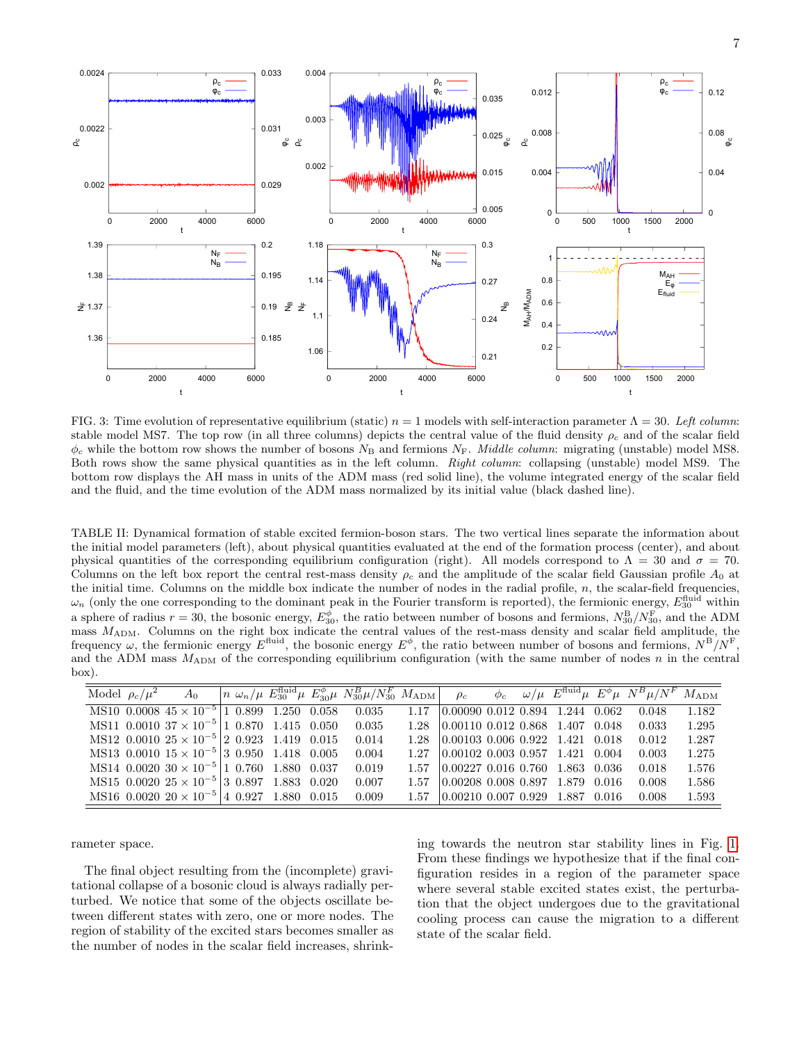



<span id="page-6-0"></span>FIG. 3: Time evolution of representative equilibrium (static)  $n = 1$  models with self-interaction parameter  $\Lambda = 30$ . Left column: stable model MS7. The top row (in all three columns) depicts the central value of the fluid density  $\rho_c$  and of the scalar field  $\phi_c$  while the bottom row shows the number of bosons  $N_B$  and fermions  $N_F$ . *Middle column*: migrating (unstable) model MS8. Both rows show the same physical quantities as in the left column. Right column: collapsing (unstable) model MS9. The bottom row displays the AH mass in units of the ADM mass (red solid line), the volume integrated energy of the scalar field and the fluid, and the time evolution of the ADM mass normalized by its initial value (black dashed line).

<span id="page-6-1"></span>TABLE II: Dynamical formation of stable excited fermion-boson stars. The two vertical lines separate the information about the initial model parameters (left), about physical quantities evaluated at the end of the formation process (center), and about physical quantities of the corresponding equilibrium configuration (right). All models correspond to  $\Lambda = 30$  and  $\sigma = 70$ . Columns on the left box report the central rest-mass density  $\rho_c$  and the amplitude of the scalar field Gaussian profile  $A_0$  at the initial time. Columns on the middle box indicate the number of nodes in the radial profile,  $n$ , the scalar-field frequencies,  $\omega_n$  (only the one corresponding to the dominant peak in the Fourier transform is reported), the fermionic energy,  $E_{30}^{\text{fluid}}$  within a sphere of radius  $r = 30$ , the bosonic energy,  $E_{30}^{\phi}$ , the ratio between number of bosons and fermions,  $N_{30}^{\rm B}/N_{30}^{\rm F}$ , and the ADM mass MADM. Columns on the right box indicate the central values of the rest-mass density and scalar field amplitude, the frequency  $\omega$ , the fermionic energy  $E^{\text{fluid}}$ , the bosonic energy  $E^{\phi}$ , the ratio between number of bosons and fermions,  $N^{\text{B}}/N^{\text{F}}$ , and the ADM mass  $M_{\text{ADM}}$  of the corresponding equilibrium configuration (with the same number of nodes n in the central box).

| Model $\rho_c/\mu^2$ | $A_0$                                               |  |  | $n \omega_n/\mu E_{30}^{\text{fluid}} \mu E_{30}^{\phi} \mu N_{30}^B \mu/N_{30}^F M_{\text{ADM}}$ $\rho_c$ |       |                                                    |  |  | $\phi_c$ $\omega/\mu$ $E^{\text{fluid}}\mu$ $E^{\phi}\mu$ $N^B\mu/N^F$ $M_{\text{ADM}}$ |       |
|----------------------|-----------------------------------------------------|--|--|------------------------------------------------------------------------------------------------------------|-------|----------------------------------------------------|--|--|-----------------------------------------------------------------------------------------|-------|
|                      | MS10 0.0008 $45 \times 10^{-5}$ 1 0.899 1.250 0.058 |  |  | 0.035                                                                                                      | 1 1 7 | $\mid 0.00090 \; 0.012 \; 0.894 \; 1.244 \; 0.062$ |  |  | 0.048                                                                                   | 1.182 |
|                      | MS11 0.0010 $37 \times 10^{-5}$ 1 0.870 1.415 0.050 |  |  | 0.035                                                                                                      | 1.28  | 0.00110, 0.012, 0.868, 1.407, 0.048                |  |  | 0.033                                                                                   | 1.295 |
|                      | MS12 0.0010 $25 \times 10^{-5}$ 2 0.923 1.419 0.015 |  |  | 0.014                                                                                                      | 1 28  | $\big 0.00103\ 0.006\ 0.922\ 1.421\ 0.018\big $    |  |  | 0.012                                                                                   | 1.287 |
|                      | MS13 0.0010 $15 \times 10^{-5}$ 3 0.950 1.418 0.005 |  |  | 0.004                                                                                                      | 1 27  | $\big 0.00102\ 0.003\ 0.957\ 1.421\ 0.004\big $    |  |  | 0.003                                                                                   | 1.275 |
|                      | MS14 0.0020 $30 \times 10^{-5}$ 1 0.760 1.880 0.037 |  |  | 0.019                                                                                                      | 1.57  | 0.00227, 0.016, 0.760, 1.863, 0.036                |  |  | 0.018                                                                                   | 1.576 |
|                      | MS15 0.0020 $25 \times 10^{-5}$ 3 0.897 1.883 0.020 |  |  | 0.007                                                                                                      | 1.57  | 0.00208, 0.008, 0.897, 1.879, 0.016                |  |  | 0.008                                                                                   | 1.586 |
|                      | MS16 0.0020 $20 \times 10^{-5}$ 4 0.927 1.880 0.015 |  |  | 0.009                                                                                                      | 1.57  | $\big 0.00210\ 0.007\ 0.929\ 1.887\ 0.016$         |  |  | 0.008                                                                                   | 1.593 |

rameter space.

The final object resulting from the (incomplete) gravitational collapse of a bosonic cloud is always radially perturbed. We notice that some of the objects oscillate between different states with zero, one or more nodes. The region of stability of the excited stars becomes smaller as the number of nodes in the scalar field increases, shrinking towards the neutron star stability lines in Fig. [1.](#page-3-0) From these findings we hypothesize that if the final configuration resides in a region of the parameter space where several stable excited states exist, the perturbation that the object undergoes due to the gravitational cooling process can cause the migration to a different state of the scalar field.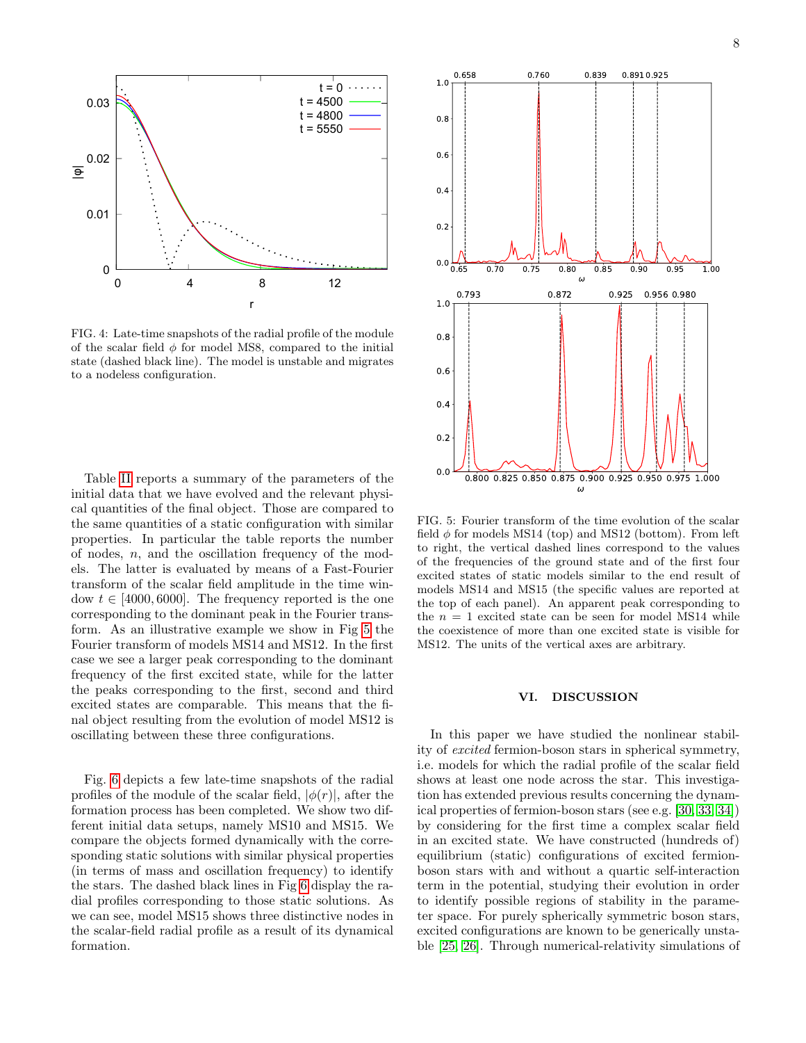

<span id="page-7-1"></span>FIG. 4: Late-time snapshots of the radial profile of the module of the scalar field  $\phi$  for model MS8, compared to the initial state (dashed black line). The model is unstable and migrates to a nodeless configuration.

Table [II](#page-6-1) reports a summary of the parameters of the initial data that we have evolved and the relevant physical quantities of the final object. Those are compared to the same quantities of a static configuration with similar properties. In particular the table reports the number of nodes, n, and the oscillation frequency of the models. The latter is evaluated by means of a Fast-Fourier transform of the scalar field amplitude in the time window  $t \in [4000, 6000]$ . The frequency reported is the one corresponding to the dominant peak in the Fourier transform. As an illustrative example we show in Fig [5](#page-7-2) the Fourier transform of models MS14 and MS12. In the first case we see a larger peak corresponding to the dominant frequency of the first excited state, while for the latter the peaks corresponding to the first, second and third excited states are comparable. This means that the final object resulting from the evolution of model MS12 is oscillating between these three configurations.

Fig. [6](#page-8-0) depicts a few late-time snapshots of the radial profiles of the module of the scalar field,  $|\phi(r)|$ , after the formation process has been completed. We show two different initial data setups, namely MS10 and MS15. We compare the objects formed dynamically with the corresponding static solutions with similar physical properties (in terms of mass and oscillation frequency) to identify the stars. The dashed black lines in Fig [6](#page-8-0) display the radial profiles corresponding to those static solutions. As we can see, model MS15 shows three distinctive nodes in the scalar-field radial profile as a result of its dynamical formation.



<span id="page-7-2"></span>FIG. 5: Fourier transform of the time evolution of the scalar field  $\phi$  for models MS14 (top) and MS12 (bottom). From left to right, the vertical dashed lines correspond to the values of the frequencies of the ground state and of the first four excited states of static models similar to the end result of models MS14 and MS15 (the specific values are reported at the top of each panel). An apparent peak corresponding to the  $n = 1$  excited state can be seen for model MS14 while the coexistence of more than one excited state is visible for MS12. The units of the vertical axes are arbitrary.

### <span id="page-7-0"></span>VI. DISCUSSION

In this paper we have studied the nonlinear stability of excited fermion-boson stars in spherical symmetry, i.e. models for which the radial profile of the scalar field shows at least one node across the star. This investigation has extended previous results concerning the dynamical properties of fermion-boson stars (see e.g. [\[30,](#page-9-15) [33,](#page-9-18) [34\]](#page-9-19)) by considering for the first time a complex scalar field in an excited state. We have constructed (hundreds of) equilibrium (static) configurations of excited fermionboson stars with and without a quartic self-interaction term in the potential, studying their evolution in order to identify possible regions of stability in the parameter space. For purely spherically symmetric boson stars, excited configurations are known to be generically unstable [\[25,](#page-9-10) [26\]](#page-9-11). Through numerical-relativity simulations of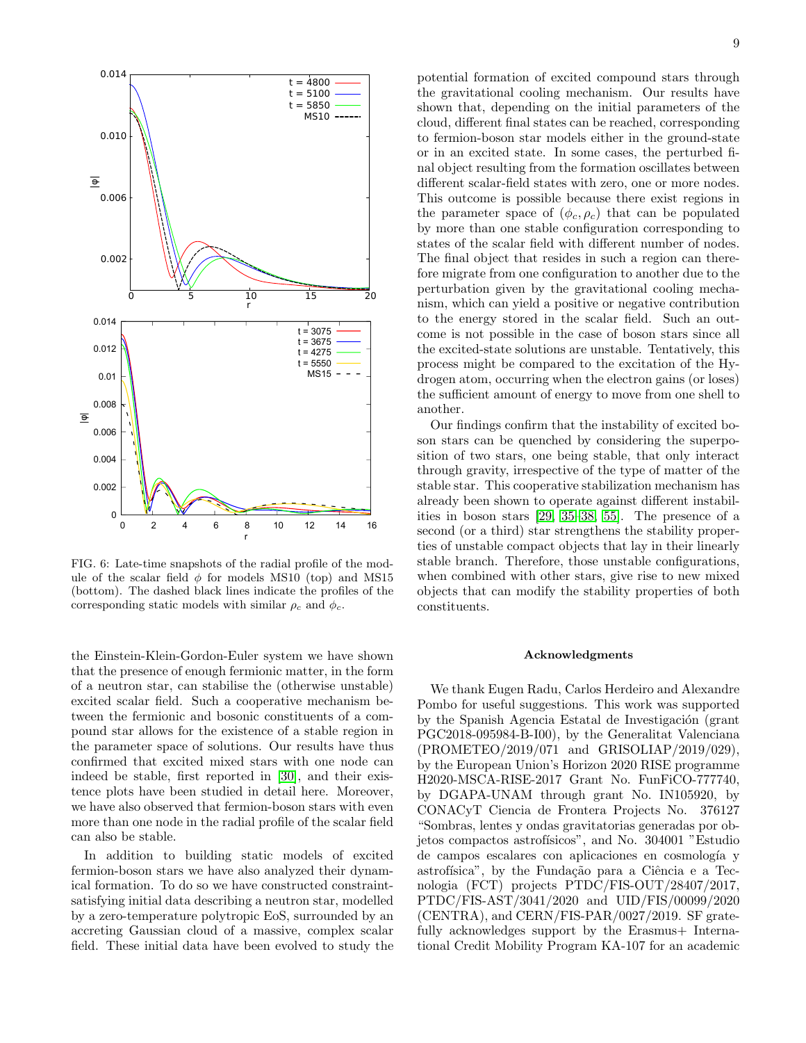

<span id="page-8-0"></span>FIG. 6: Late-time snapshots of the radial profile of the module of the scalar field  $\phi$  for models MS10 (top) and MS15 (bottom). The dashed black lines indicate the profiles of the corresponding static models with similar  $\rho_c$  and  $\phi_c$ .

the Einstein-Klein-Gordon-Euler system we have shown that the presence of enough fermionic matter, in the form of a neutron star, can stabilise the (otherwise unstable) excited scalar field. Such a cooperative mechanism between the fermionic and bosonic constituents of a compound star allows for the existence of a stable region in the parameter space of solutions. Our results have thus confirmed that excited mixed stars with one node can indeed be stable, first reported in [\[30\]](#page-9-15), and their existence plots have been studied in detail here. Moreover, we have also observed that fermion-boson stars with even more than one node in the radial profile of the scalar field can also be stable.

In addition to building static models of excited fermion-boson stars we have also analyzed their dynamical formation. To do so we have constructed constraintsatisfying initial data describing a neutron star, modelled by a zero-temperature polytropic EoS, surrounded by an accreting Gaussian cloud of a massive, complex scalar field. These initial data have been evolved to study the

potential formation of excited compound stars through the gravitational cooling mechanism. Our results have shown that, depending on the initial parameters of the cloud, different final states can be reached, corresponding to fermion-boson star models either in the ground-state or in an excited state. In some cases, the perturbed final object resulting from the formation oscillates between different scalar-field states with zero, one or more nodes. This outcome is possible because there exist regions in the parameter space of  $(\phi_c, \rho_c)$  that can be populated by more than one stable configuration corresponding to states of the scalar field with different number of nodes. The final object that resides in such a region can therefore migrate from one configuration to another due to the perturbation given by the gravitational cooling mechanism, which can yield a positive or negative contribution to the energy stored in the scalar field. Such an outcome is not possible in the case of boson stars since all the excited-state solutions are unstable. Tentatively, this process might be compared to the excitation of the Hydrogen atom, occurring when the electron gains (or loses) the sufficient amount of energy to move from one shell to another.

Our findings confirm that the instability of excited boson stars can be quenched by considering the superposition of two stars, one being stable, that only interact through gravity, irrespective of the type of matter of the stable star. This cooperative stabilization mechanism has already been shown to operate against different instabilities in boson stars [\[29,](#page-9-14) [35–](#page-9-20)[38,](#page-9-23) [55\]](#page-10-1). The presence of a second (or a third) star strengthens the stability properties of unstable compact objects that lay in their linearly stable branch. Therefore, those unstable configurations, when combined with other stars, give rise to new mixed objects that can modify the stability properties of both constituents.

#### Acknowledgments

We thank Eugen Radu, Carlos Herdeiro and Alexandre Pombo for useful suggestions. This work was supported by the Spanish Agencia Estatal de Investigación (grant PGC2018-095984-B-I00), by the Generalitat Valenciana (PROMETEO/2019/071 and GRISOLIAP/2019/029), by the European Union's Horizon 2020 RISE programme H2020-MSCA-RISE-2017 Grant No. FunFiCO-777740, by DGAPA-UNAM through grant No. IN105920, by CONACyT Ciencia de Frontera Projects No. 376127 "Sombras, lentes y ondas gravitatorias generadas por objetos compactos astrofísicos", and No. 304001 "Estudio de campos escalares con aplicaciones en cosmología y astrofísica", by the Fundação para a Ciência e a Tecnologia (FCT) projects PTDC/FIS-OUT/28407/2017, PTDC/FIS-AST/3041/2020 and UID/FIS/00099/2020 (CENTRA), and CERN/FIS-PAR/0027/2019. SF gratefully acknowledges support by the Erasmus + International Credit Mobility Program KA-107 for an academic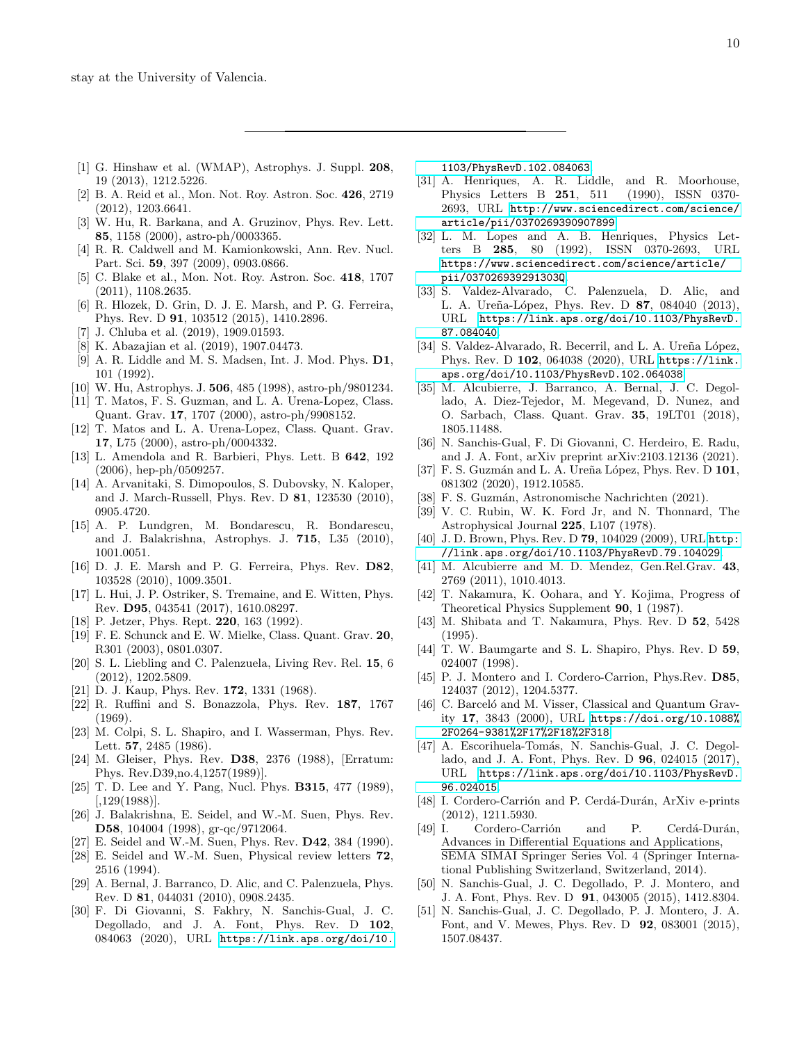- <span id="page-9-0"></span>[1] G. Hinshaw et al. (WMAP), Astrophys. J. Suppl. 208, 19 (2013), 1212.5226.
- [2] B. A. Reid et al., Mon. Not. Roy. Astron. Soc. 426, 2719 (2012), 1203.6641.
- [3] W. Hu, R. Barkana, and A. Gruzinov, Phys. Rev. Lett. 85, 1158 (2000), astro-ph/0003365.
- [4] R. R. Caldwell and M. Kamionkowski, Ann. Rev. Nucl. Part. Sci. 59, 397 (2009), 0903.0866.
- [5] C. Blake et al., Mon. Not. Roy. Astron. Soc. 418, 1707 (2011), 1108.2635.
- [6] R. Hlozek, D. Grin, D. J. E. Marsh, and P. G. Ferreira, Phys. Rev. D 91, 103512 (2015), 1410.2896.
- [7] J. Chluba et al. (2019), 1909.01593.
- <span id="page-9-1"></span>[8] K. Abazajian et al. (2019), 1907.04473.
- <span id="page-9-2"></span>[9] A. R. Liddle and M. S. Madsen, Int. J. Mod. Phys. D1, 101 (1992).
- [10] W. Hu, Astrophys. J. 506, 485 (1998), astro-ph/9801234.
- [11] T. Matos, F. S. Guzman, and L. A. Urena-Lopez, Class. Quant. Grav. 17, 1707 (2000), astro-ph/9908152.
- [12] T. Matos and L. A. Urena-Lopez, Class. Quant. Grav. 17, L75 (2000), astro-ph/0004332.
- [13] L. Amendola and R. Barbieri, Phys. Lett. B 642, 192 (2006), hep-ph/0509257.
- [14] A. Arvanitaki, S. Dimopoulos, S. Dubovsky, N. Kaloper, and J. March-Russell, Phys. Rev. D 81, 123530 (2010), 0905.4720.
- [15] A. P. Lundgren, M. Bondarescu, R. Bondarescu, and J. Balakrishna, Astrophys. J. 715, L35 (2010), 1001.0051.
- [16] D. J. E. Marsh and P. G. Ferreira, Phys. Rev. D82, 103528 (2010), 1009.3501.
- <span id="page-9-3"></span>[17] L. Hui, J. P. Ostriker, S. Tremaine, and E. Witten, Phys. Rev. D95, 043541 (2017), 1610.08297.
- <span id="page-9-4"></span>[18] P. Jetzer, Phys. Rept. **220**, 163 (1992).
- [19] F. E. Schunck and E. W. Mielke, Class. Quant. Grav. 20, R301 (2003), 0801.0307.
- <span id="page-9-5"></span>[20] S. L. Liebling and C. Palenzuela, Living Rev. Rel. 15, 6 (2012), 1202.5809.
- <span id="page-9-6"></span>[21] D. J. Kaup, Phys. Rev. **172**, 1331 (1968).
- <span id="page-9-7"></span>[22] R. Ruffini and S. Bonazzola, Phys. Rev. 187, 1767 (1969).
- <span id="page-9-8"></span>[23] M. Colpi, S. L. Shapiro, and I. Wasserman, Phys. Rev. Lett. 57, 2485 (1986).
- <span id="page-9-9"></span>[24] M. Gleiser, Phys. Rev. D38, 2376 (1988), [Erratum: Phys. Rev.D39,no.4,1257(1989)].
- <span id="page-9-10"></span>[25] T. D. Lee and Y. Pang, Nucl. Phys. B315, 477 (1989),  $[0.129(1988)]$ .
- <span id="page-9-11"></span>[26] J. Balakrishna, E. Seidel, and W.-M. Suen, Phys. Rev. D58, 104004 (1998), gr-qc/9712064.
- <span id="page-9-12"></span>[27] E. Seidel and W.-M. Suen, Phys. Rev. D42, 384 (1990).
- <span id="page-9-13"></span>[28] E. Seidel and W.-M. Suen, Physical review letters 72, 2516 (1994).
- <span id="page-9-14"></span>[29] A. Bernal, J. Barranco, D. Alic, and C. Palenzuela, Phys. Rev. D 81, 044031 (2010), 0908.2435.
- <span id="page-9-15"></span>[30] F. Di Giovanni, S. Fakhry, N. Sanchis-Gual, J. C. Degollado, and J. A. Font, Phys. Rev. D 102, 084063 (2020), URL [https://link.aps.org/doi/10.](https://link.aps.org/doi/10.1103/PhysRevD.102.084063)

[1103/PhysRevD.102.084063](https://link.aps.org/doi/10.1103/PhysRevD.102.084063).

- <span id="page-9-16"></span>[31] A. Henriques, A. R. Liddle, and R. Moorhouse, Physics Letters B 251, 511 (1990), ISSN 0370- 2693, URL [http://www.sciencedirect.com/science/](http://www.sciencedirect.com/science/article/pii/0370269390907899) [article/pii/0370269390907899](http://www.sciencedirect.com/science/article/pii/0370269390907899).
- <span id="page-9-17"></span>[32] L. M. Lopes and A. B. Henriques, Physics Letters B 285, 80 (1992), ISSN 0370-2693, URL [https://www.sciencedirect.com/science/article/](https://www.sciencedirect.com/science/article/pii/037026939291303Q) [pii/037026939291303Q](https://www.sciencedirect.com/science/article/pii/037026939291303Q).
- <span id="page-9-18"></span>[33] S. Valdez-Alvarado, C. Palenzuela, D. Alic, and L. A. Ureña-López, Phys. Rev. D 87, 084040 (2013), URL [https://link.aps.org/doi/10.1103/PhysRevD.](https://link.aps.org/doi/10.1103/PhysRevD.87.084040) [87.084040](https://link.aps.org/doi/10.1103/PhysRevD.87.084040).
- <span id="page-9-19"></span>[34] S. Valdez-Alvarado, R. Becerril, and L. A. Ureña López, Phys. Rev. D 102, 064038 (2020), URL [https://link.](https://link.aps.org/doi/10.1103/PhysRevD.102.064038) [aps.org/doi/10.1103/PhysRevD.102.064038](https://link.aps.org/doi/10.1103/PhysRevD.102.064038).
- <span id="page-9-20"></span>[35] M. Alcubierre, J. Barranco, A. Bernal, J. C. Degollado, A. Diez-Tejedor, M. Megevand, D. Nunez, and O. Sarbach, Class. Quant. Grav. 35, 19LT01 (2018), 1805.11488.
- <span id="page-9-21"></span>[36] N. Sanchis-Gual, F. Di Giovanni, C. Herdeiro, E. Radu, and J. A. Font, arXiv preprint arXiv:2103.12136 (2021).
- <span id="page-9-22"></span>[37] F. S. Guzmán and L. A. Ureña López, Phys. Rev. D 101, 081302 (2020), 1912.10585.
- <span id="page-9-23"></span>[38] F. S. Guzmán, Astronomische Nachrichten (2021).
- <span id="page-9-24"></span>[39] V. C. Rubin, W. K. Ford Jr, and N. Thonnard, The Astrophysical Journal 225, L107 (1978).
- <span id="page-9-25"></span>[40] J.D. Brown, Phys. Rev. D **79**, 104029 (2009), URL [http:](http://link.aps.org/doi/10.1103/PhysRevD.79.104029) [//link.aps.org/doi/10.1103/PhysRevD.79.104029](http://link.aps.org/doi/10.1103/PhysRevD.79.104029).
- <span id="page-9-26"></span>[41] M. Alcubierre and M. D. Mendez, Gen.Rel.Grav. 43, 2769 (2011), 1010.4013.
- <span id="page-9-27"></span>[42] T. Nakamura, K. Oohara, and Y. Kojima, Progress of Theoretical Physics Supplement 90, 1 (1987).
- <span id="page-9-29"></span>[43] M. Shibata and T. Nakamura, Phys. Rev. D 52, 5428 (1995).
- <span id="page-9-28"></span>[44] T. W. Baumgarte and S. L. Shapiro, Phys. Rev. D 59, 024007 (1998).
- <span id="page-9-30"></span>[45] P. J. Montero and I. Cordero-Carrion, Phys.Rev. D85, 124037 (2012), 1204.5377.
- <span id="page-9-31"></span>[46] C. Barceló and M. Visser, Classical and Quantum Gravity 17, 3843 (2000), URL [https://doi.org/10.1088%](https://doi.org/10.1088%2F0264-9381%2F17%2F18%2F318) [2F0264-9381%2F17%2F18%2F318](https://doi.org/10.1088%2F0264-9381%2F17%2F18%2F318).
- <span id="page-9-32"></span>[47] A. Escorihuela-Tomás, N. Sanchis-Gual, J. C. Degollado, and J. A. Font, Phys. Rev. D 96, 024015 (2017), URL [https://link.aps.org/doi/10.1103/PhysRevD.](https://link.aps.org/doi/10.1103/PhysRevD.96.024015) [96.024015](https://link.aps.org/doi/10.1103/PhysRevD.96.024015).
- <span id="page-9-33"></span>[48] I. Cordero-Carrión and P. Cerdá-Durán, ArXiv e-prints (2012), 1211.5930.
- <span id="page-9-34"></span>[49] I. Cordero-Carrión and P. Cerdá-Durán, Advances in Differential Equations and Applications, SEMA SIMAI Springer Series Vol. 4 (Springer International Publishing Switzerland, Switzerland, 2014).
- <span id="page-9-35"></span>[50] N. Sanchis-Gual, J. C. Degollado, P. J. Montero, and J. A. Font, Phys. Rev. D 91, 043005 (2015), 1412.8304.
- <span id="page-9-36"></span>[51] N. Sanchis-Gual, J. C. Degollado, P. J. Montero, J. A. Font, and V. Mewes, Phys. Rev. D 92, 083001 (2015), 1507.08437.